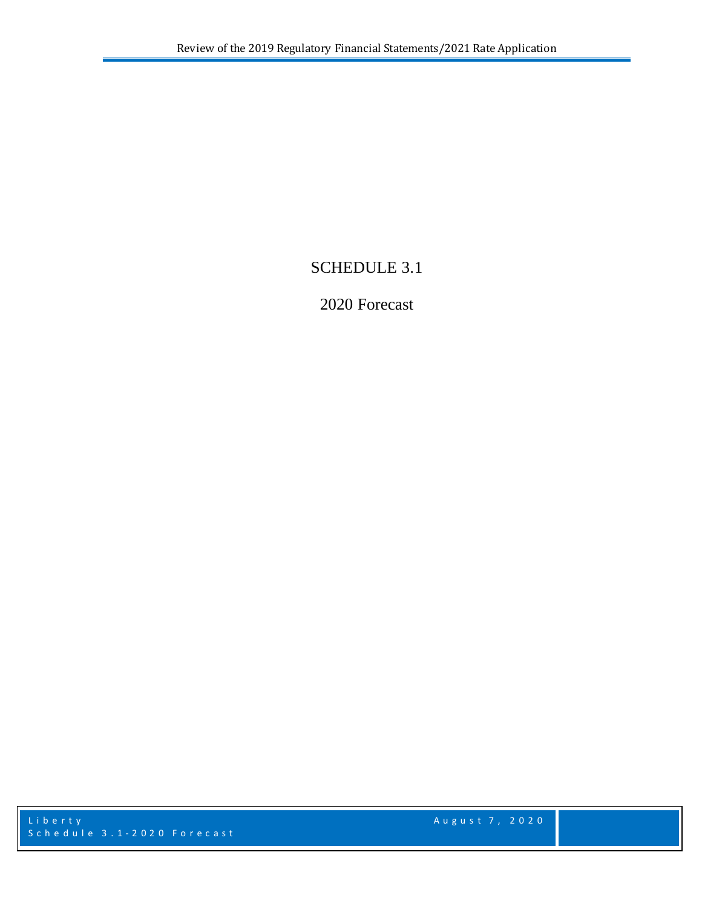# SCHEDULE 3.1

# 2020 Forecast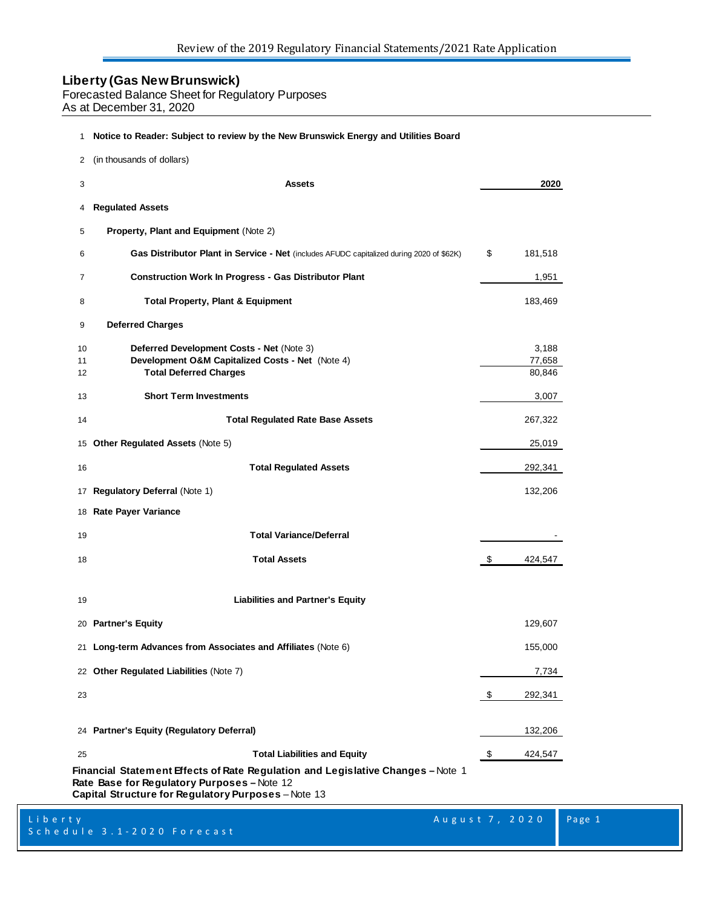Forecasted Balance Sheet for Regulatory Purposes

As at December 31, 2020

#### **Notice to Reader: Subject to review by the New Brunswick Energy and Utilities Board**

| 2              | (in thousands of dollars)                                                                                                                                                              |                           |
|----------------|----------------------------------------------------------------------------------------------------------------------------------------------------------------------------------------|---------------------------|
| 3              | <b>Assets</b>                                                                                                                                                                          | 2020                      |
| 4              | <b>Regulated Assets</b>                                                                                                                                                                |                           |
| 5              | Property, Plant and Equipment (Note 2)                                                                                                                                                 |                           |
| 6              | <b>Gas Distributor Plant in Service - Net</b> (includes AFUDC capitalized during 2020 of \$62K)                                                                                        | \$<br>181,518             |
| 7              | <b>Construction Work In Progress - Gas Distributor Plant</b>                                                                                                                           | 1,951                     |
| 8              | <b>Total Property, Plant &amp; Equipment</b>                                                                                                                                           | 183,469                   |
| 9              | <b>Deferred Charges</b>                                                                                                                                                                |                           |
| 10<br>11<br>12 | Deferred Development Costs - Net (Note 3)<br>Development O&M Capitalized Costs - Net (Note 4)<br><b>Total Deferred Charges</b>                                                         | 3,188<br>77,658<br>80,846 |
| 13             | <b>Short Term Investments</b>                                                                                                                                                          | 3,007                     |
| 14             | <b>Total Regulated Rate Base Assets</b>                                                                                                                                                | 267,322                   |
|                | 15 Other Regulated Assets (Note 5)                                                                                                                                                     | 25,019                    |
| 16             | <b>Total Regulated Assets</b>                                                                                                                                                          | 292,341                   |
| 17             | <b>Regulatory Deferral (Note 1)</b>                                                                                                                                                    | 132,206                   |
|                | 18 Rate Payer Variance                                                                                                                                                                 |                           |
| 19             | <b>Total Variance/Deferral</b>                                                                                                                                                         |                           |
| 18             | <b>Total Assets</b>                                                                                                                                                                    | \$<br>424,547             |
| 19             | <b>Liabilities and Partner's Equity</b>                                                                                                                                                |                           |
|                | 20 Partner's Equity                                                                                                                                                                    | 129,607                   |
| 21             | Long-term Advances from Associates and Affiliates (Note 6)                                                                                                                             | 155,000                   |
|                | 22 Other Regulated Liabilities (Note 7)                                                                                                                                                | 7,734                     |
| 23             |                                                                                                                                                                                        | \$<br>292,341             |
|                | 24 Partner's Equity (Regulatory Deferral)                                                                                                                                              | 132,206                   |
| 25             | <b>Total Liabilities and Equity</b>                                                                                                                                                    | \$<br>424,547             |
|                | Financial  Statem ent Effects of Rate Regulation  and Legislative Changes – Note 1<br>Rate Base for Regulatory Purposes-Note 12<br>Capital Structure for Regulatory Purposes - Note 13 |                           |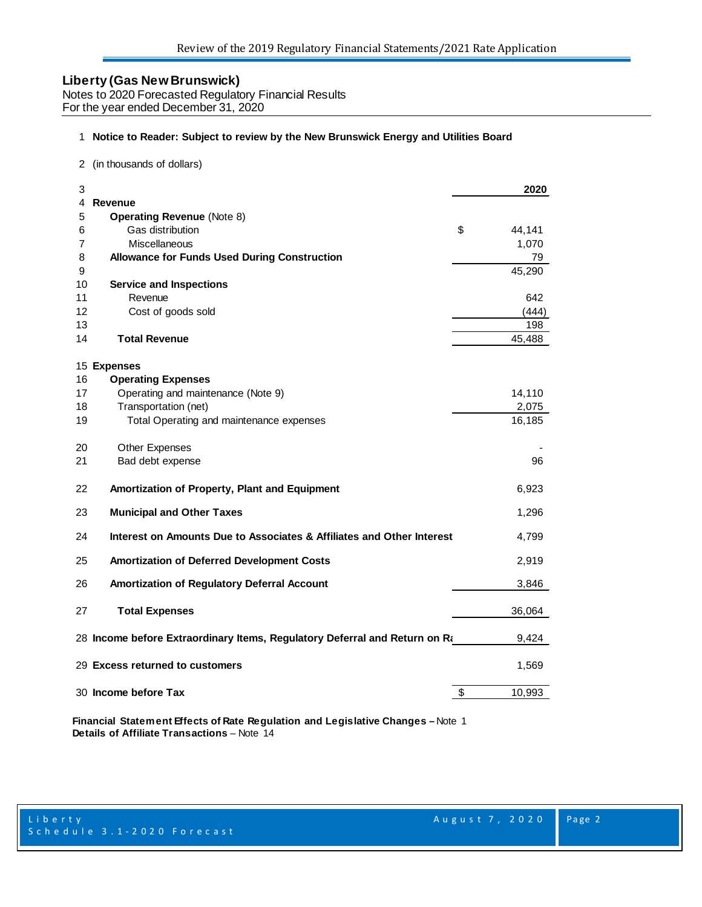Notes to 2020 Forecasted Regulatory Financial Results For the year ended December 31, 2020

#### 1 **Notice to Reader: Subject to review by the New Brunswick Energy and Utilities Board**

2 (in thousands of dollars)

| 3                                                                           | 2020         |
|-----------------------------------------------------------------------------|--------------|
| <b>Revenue</b><br>4                                                         |              |
| <b>Operating Revenue (Note 8)</b><br>5<br>Gas distribution                  | \$           |
| 6<br>Miscellaneous                                                          | 44,141       |
| 7<br>8<br><b>Allowance for Funds Used During Construction</b>               | 1,070        |
| 9                                                                           | 79<br>45,290 |
| <b>Service and Inspections</b><br>10                                        |              |
| 11<br>Revenue                                                               | 642          |
| 12<br>Cost of goods sold                                                    | (444)        |
| 13                                                                          | 198          |
| <b>Total Revenue</b><br>14                                                  | 45,488       |
| 15 Expenses                                                                 |              |
| <b>Operating Expenses</b><br>16                                             |              |
| Operating and maintenance (Note 9)<br>17                                    | 14,110       |
| Transportation (net)<br>18                                                  | 2,075        |
| Total Operating and maintenance expenses<br>19                              | 16,185       |
| 20<br><b>Other Expenses</b>                                                 |              |
| 21<br>Bad debt expense                                                      | 96           |
| 22<br>Amortization of Property, Plant and Equipment                         | 6,923        |
| 23<br><b>Municipal and Other Taxes</b>                                      | 1,296        |
| Interest on Amounts Due to Associates & Affiliates and Other Interest<br>24 | 4,799        |
| 25<br><b>Amortization of Deferred Development Costs</b>                     | 2,919        |
| 26<br>Amortization of Regulatory Deferral Account                           | 3,846        |
| 27<br><b>Total Expenses</b>                                                 | 36,064       |
| 28 Income before Extraordinary Items, Regulatory Deferral and Return on Ra  | 9.424        |
| 29 Excess returned to customers                                             | 1,569        |
| 30 Income before Tax                                                        | \$<br>10,993 |

**Financial Statement Effects of Rate Regulation and Legislative Changes –** Note 1 **Details of Affiliate Transactions** – Note 14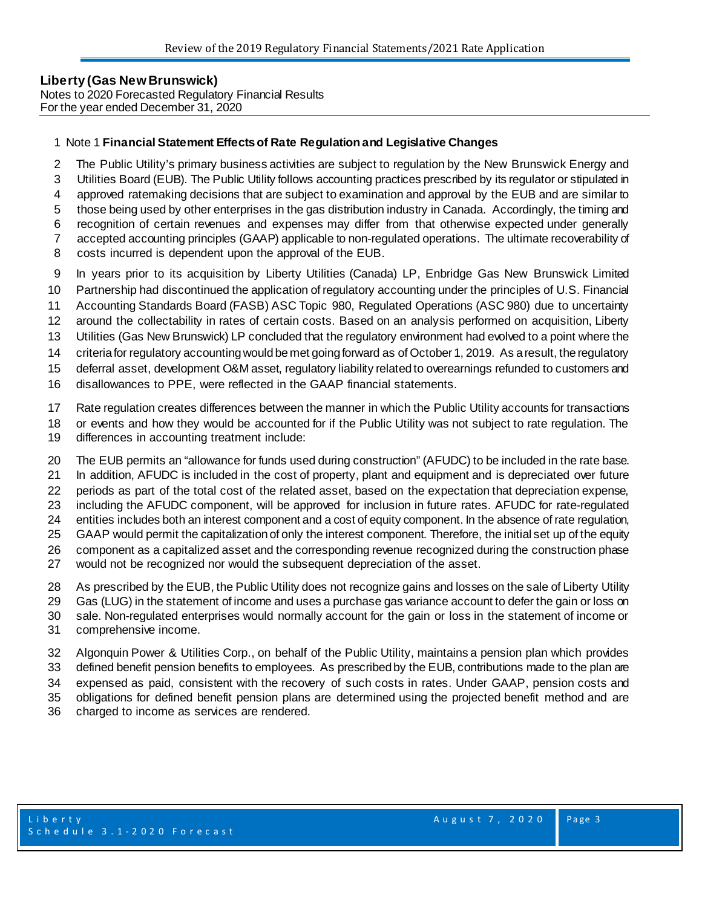#### **Liberty (Gas New Brunswick)**  Notes to 2020 Forecasted Regulatory Financial Results For the year ended December 31, 2020

## Note 1 **Financial Statement Effects of Rate Regulation and Legislative Changes**

- The Public Utility's primary business activities are subject to regulation by the New Brunswick Energy and
- Utilities Board (EUB). The Public Utility follows accounting practices prescribed by its regulator or stipulated in
- approved ratemaking decisions that are subject to examination and approval by the EUB and are similar to
- those being used by other enterprises in the gas distribution industry in Canada. Accordingly, the timing and
- recognition of certain revenues and expenses may differ from that otherwise expected under generally
- accepted accounting principles (GAAP) applicable to non-regulated operations. The ultimate recoverability of
- costs incurred is dependent upon the approval of the EUB.
- In years prior to its acquisition by Liberty Utilities (Canada) LP, Enbridge Gas New Brunswick Limited
- Partnership had discontinued the application of regulatory accounting under the principles of U.S. Financial
- Accounting Standards Board (FASB) ASC Topic 980, Regulated Operations (ASC 980) due to uncertainty
- around the collectability in rates of certain costs. Based on an analysis performed on acquisition, Liberty
- Utilities (Gas New Brunswick) LP concluded that the regulatory environment had evolved to a point where the
- criteria for regulatory accounting would be met going forward as of October 1, 2019. As a result, the regulatory
- deferral asset, development O&M asset, regulatory liability related to overearnings refunded to customers and
- disallowances to PPE, were reflected in the GAAP financial statements.
- Rate regulation creates differences between the manner in which the Public Utility accounts for transactions
- or events and how they would be accounted for if the Public Utility was not subject to rate regulation. The
- differences in accounting treatment include:
- The EUB permits an "allowance for funds used during construction" (AFUDC) to be included in the rate base.
- In addition, AFUDC is included in the cost of property, plant and equipment and is depreciated over future
- periods as part of the total cost of the related asset, based on the expectation that depreciation expense,
- including the AFUDC component, will be approved for inclusion in future rates. AFUDC for rate-regulated
- entities includes both an interest component and a cost of equity component. In the absence of rate regulation,
- GAAP would permit the capitalization of only the interest component. Therefore, the initial set up of the equity component as a capitalized asset and the corresponding revenue recognized during the construction phase
- would not be recognized nor would the subsequent depreciation of the asset.
- As prescribed by the EUB, the Public Utility does not recognize gains and losses on the sale of Liberty Utility
- Gas (LUG) in the statement of income and uses a purchase gas variance account to defer the gain or loss on
- sale. Non-regulated enterprises would normally account for the gain or loss in the statement of income or
- comprehensive income.
- Algonquin Power & Utilities Corp., on behalf of the Public Utility, maintains a pension plan which provides
- defined benefit pension benefits to employees. As prescribed by the EUB, contributions made to the plan are expensed as paid, consistent with the recovery of such costs in rates. Under GAAP, pension costs and
- obligations for defined benefit pension plans are determined using the projected benefit method and are
- charged to income as services are rendered.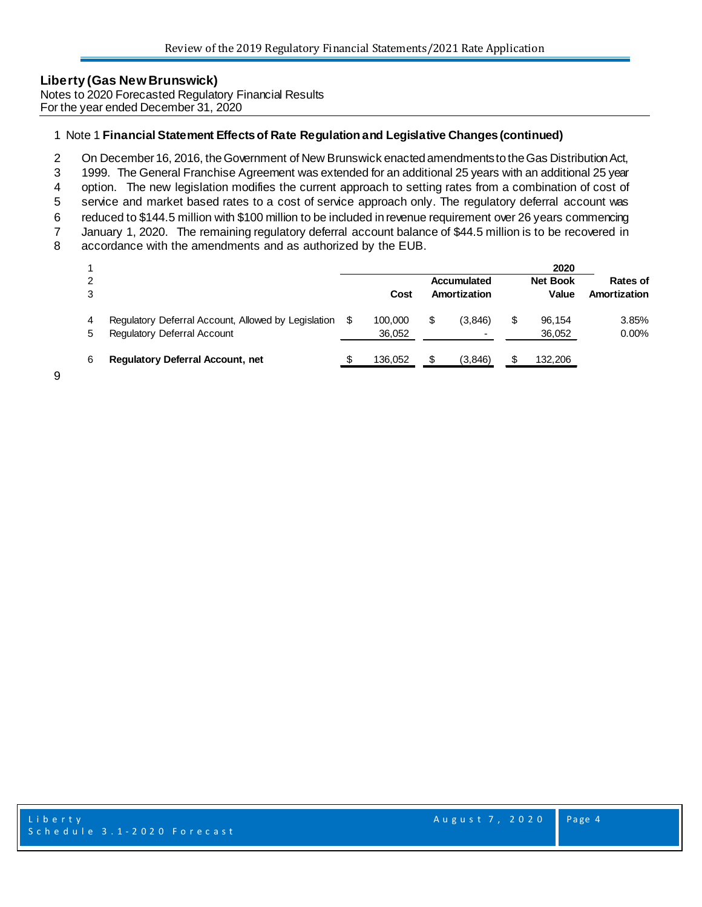Notes to 2020 Forecasted Regulatory Financial Results For the year ended December 31, 2020

## 1 Note 1 **Financial Statement Effects of Rate Regulation and Legislative Changes (continued)**

2 On December 16, 2016, the Government of New Brunswick enacted amendments to the Gas Distribution Act,

3 1999. The General Franchise Agreement was extended for an additional 25 years with an additional 25 year

4 option. The new legislation modifies the current approach to setting rates from a combination of cost of

5 service and market based rates to a cost of service approach only. The regulatory deferral account was

6 reduced to \$144.5 million with \$100 million to be included in revenue requirement over 26 years commencing

7 January 1, 2020. The remaining regulatory deferral account balance of \$44.5 million is to be recovered in accordance with the amendments and as authorized by the EUB.

accordance with the amendments and as authorized by the EUB.

|        |                                                                                    |     |                   |                             |   | 2020                     |                                 |
|--------|------------------------------------------------------------------------------------|-----|-------------------|-----------------------------|---|--------------------------|---------------------------------|
|        |                                                                                    |     | Cost              | Accumulated<br>Amortization |   | <b>Net Book</b><br>Value | <b>Rates of</b><br>Amortization |
| 4<br>5 | Regulatory Deferral Account, Allowed by Legislation<br>Regulatory Deferral Account | \$. | 100,000<br>36.052 | \$<br>(3.846)               | S | 96.154<br>36,052         | 3.85%<br>$0.00\%$               |
| 6      | <b>Regulatory Deferral Account, net</b>                                            |     | 136.052           | \$<br>(3,846)               |   | 132,206                  |                                 |

9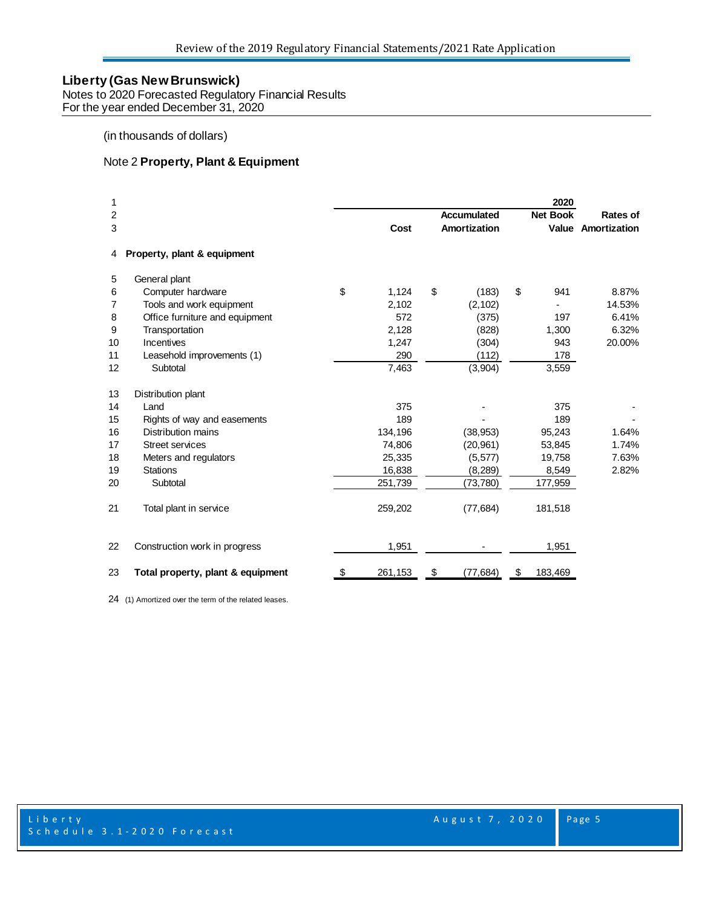Notes to 2020 Forecasted Regulatory Financial Results For the year ended December 31, 2020

## (in thousands of dollars)

## Note 2 **Property, Plant & Equipment**

| 1  |                                   |               |                    | 2020            |                    |
|----|-----------------------------------|---------------|--------------------|-----------------|--------------------|
| 2  |                                   |               | <b>Accumulated</b> | <b>Net Book</b> | Rates of           |
| 3  |                                   | Cost          | Amortization       |                 | Value Amortization |
| 4  | Property, plant & equipment       |               |                    |                 |                    |
| 5  | General plant                     |               |                    |                 |                    |
| 6  | Computer hardware                 | \$<br>1,124   | \$<br>(183)        | \$<br>941       | 8.87%              |
| 7  | Tools and work equipment          | 2,102         | (2, 102)           |                 | 14.53%             |
| 8  | Office furniture and equipment    | 572           | (375)              | 197             | 6.41%              |
| 9  | Transportation                    | 2,128         | (828)              | 1,300           | 6.32%              |
| 10 | Incentives                        | 1,247         | (304)              | 943             | 20.00%             |
| 11 | Leasehold improvements (1)        | 290           | (112)              | 178             |                    |
| 12 | Subtotal                          | 7,463         | (3,904)            | 3,559           |                    |
| 13 | Distribution plant                |               |                    |                 |                    |
| 14 | Land                              | 375           |                    | 375             |                    |
| 15 | Rights of way and easements       | 189           |                    | 189             |                    |
| 16 | Distribution mains                | 134,196       | (38, 953)          | 95,243          | 1.64%              |
| 17 | Street services                   | 74,806        | (20, 961)          | 53,845          | 1.74%              |
| 18 | Meters and regulators             | 25,335        | (5, 577)           | 19,758          | 7.63%              |
| 19 | <b>Stations</b>                   | 16,838        | (8, 289)           | 8,549           | 2.82%              |
| 20 | Subtotal                          | 251,739       | (73, 780)          | 177,959         |                    |
| 21 | Total plant in service            | 259,202       | (77, 684)          | 181,518         |                    |
| 22 | Construction work in progress     | 1,951         |                    | 1,951           |                    |
| 23 | Total property, plant & equipment | \$<br>261,153 | \$<br>(77, 684)    | \$<br>183,469   |                    |

(1) Amortized over the term of the related leases.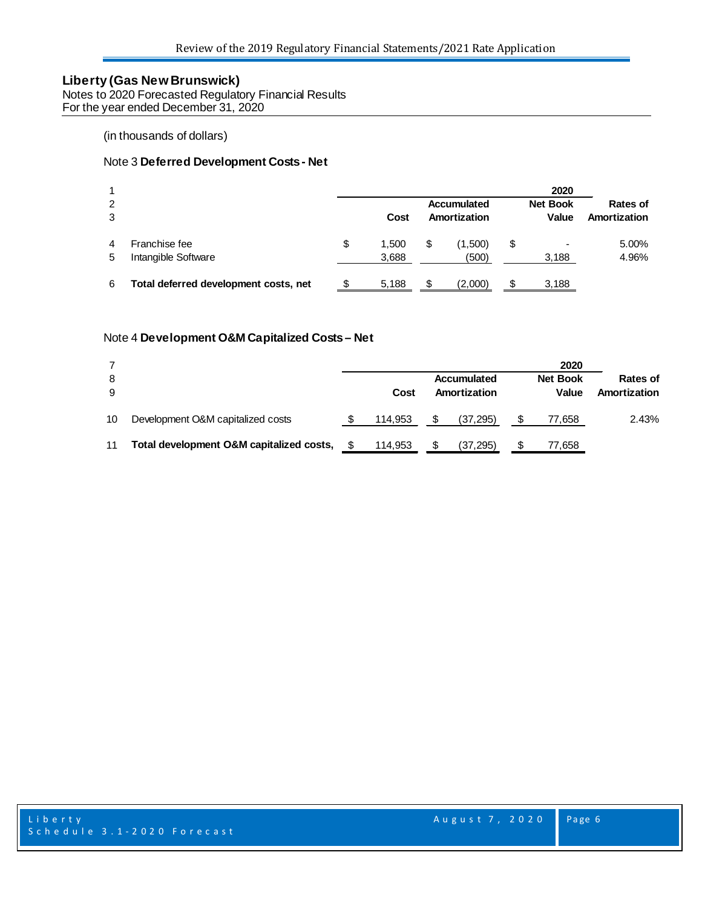Notes to 2020 Forecasted Regulatory Financial Results For the year ended December 31, 2020

(in thousands of dollars)

## Note 3 **Deferred Development Costs - Net**

|   |                                       |             |    |              |    | 2020            |              |
|---|---------------------------------------|-------------|----|--------------|----|-----------------|--------------|
| 2 |                                       |             |    | Accumulated  |    | <b>Net Book</b> | Rates of     |
| 3 |                                       | Cost        |    | Amortization |    | Value           | Amortization |
| 4 | Franchise fee                         | \$<br>1.500 | \$ | (1,500)      | \$ | ۰               | 5.00%        |
| 5 | Intangible Software                   | 3,688       |    | (500)        |    | 3,188           | 4.96%        |
| 6 | Total deferred development costs, net | 5,188       | S  | (2,000)      | S  | 3,188           |              |

#### Note 4 **Development O&M Capitalized Costs – Net**

|    |                                          |         |   |              |   | 2020            |              |
|----|------------------------------------------|---------|---|--------------|---|-----------------|--------------|
| 8  |                                          |         |   | Accumulated  |   | <b>Net Book</b> | Rates of     |
| 9  |                                          | Cost    |   | Amortization |   | Value           | Amortization |
| 10 | Development O&M capitalized costs        | 114.953 | S | (37, 295)    |   | 77,658          | 2.43%        |
| 11 | Total development O&M capitalized costs, | 114.953 | S | (37, 295)    | S | 77,658          |              |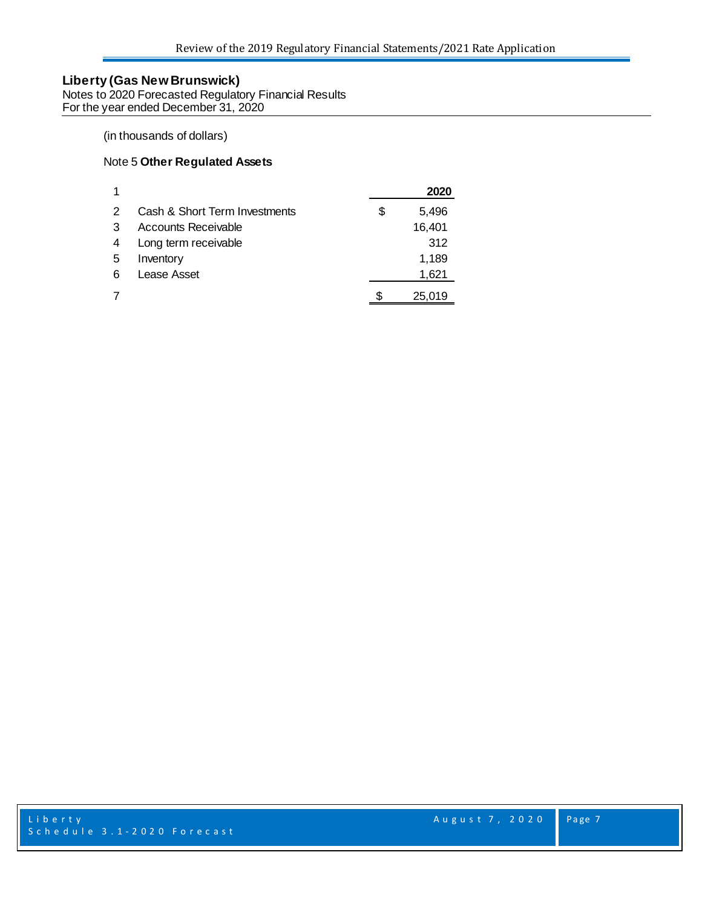Notes to 2020 Forecasted Regulatory Financial Results For the year ended December 31, 2020

## (in thousands of dollars)

#### Note 5 **Other Regulated Assets**

|   |                               | 2020        |
|---|-------------------------------|-------------|
| 2 | Cash & Short Term Investments | \$<br>5,496 |
| 3 | Accounts Receivable           | 16,401      |
|   | Long term receivable          | 312         |
| 5 | Inventory                     | 1,189       |
| 6 | Lease Asset                   | 1,621       |
|   |                               | 25.019      |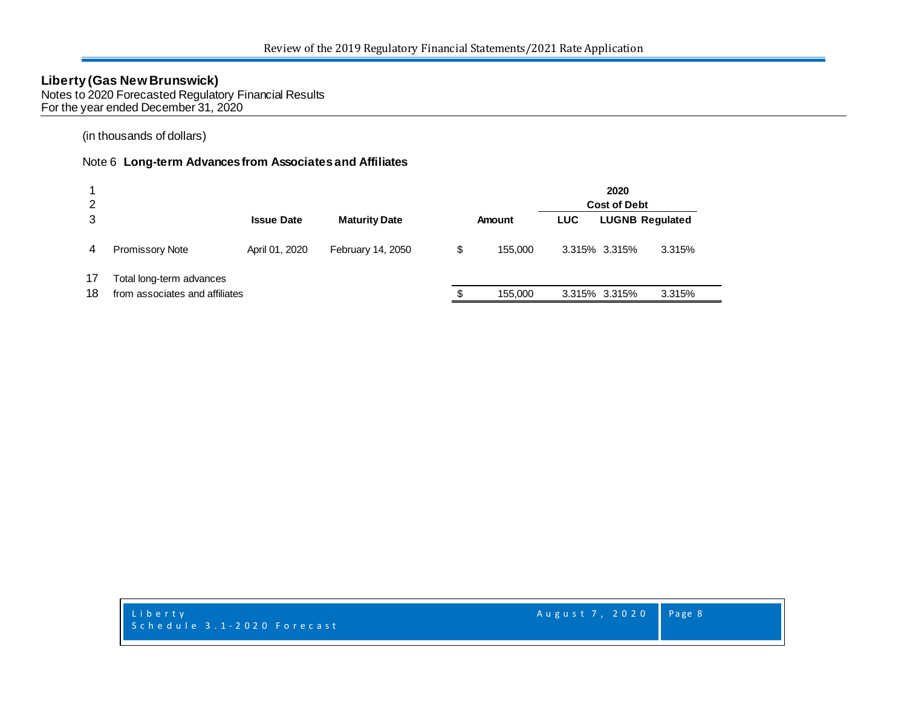Notes to 2020 Forecasted Regulatory Financial Results For the year ended December 31, 2020

(in thousands of dollars)

## Note 6 **Long-term Advances from Associates and Affiliates**

| 2  |                                |                   |                      |               |            | 2020<br><b>Cost of Debt</b> |                        |
|----|--------------------------------|-------------------|----------------------|---------------|------------|-----------------------------|------------------------|
| 3  |                                | <b>Issue Date</b> | <b>Maturity Date</b> | Amount        | <b>LUC</b> |                             | <b>LUGNB Regulated</b> |
| 4  | <b>Promissory Note</b>         | April 01, 2020    | February 14, 2050    | \$<br>155,000 |            | 3.315% 3.315%               | 3.315%                 |
| 17 | Total long-term advances       |                   |                      |               |            |                             |                        |
| 18 | from associates and affiliates |                   |                      | 155,000       |            | 3.315% 3.315%               | 3.315%                 |

Liberty **August 7, 2020** Schedule 3.1 - 2020 Forecast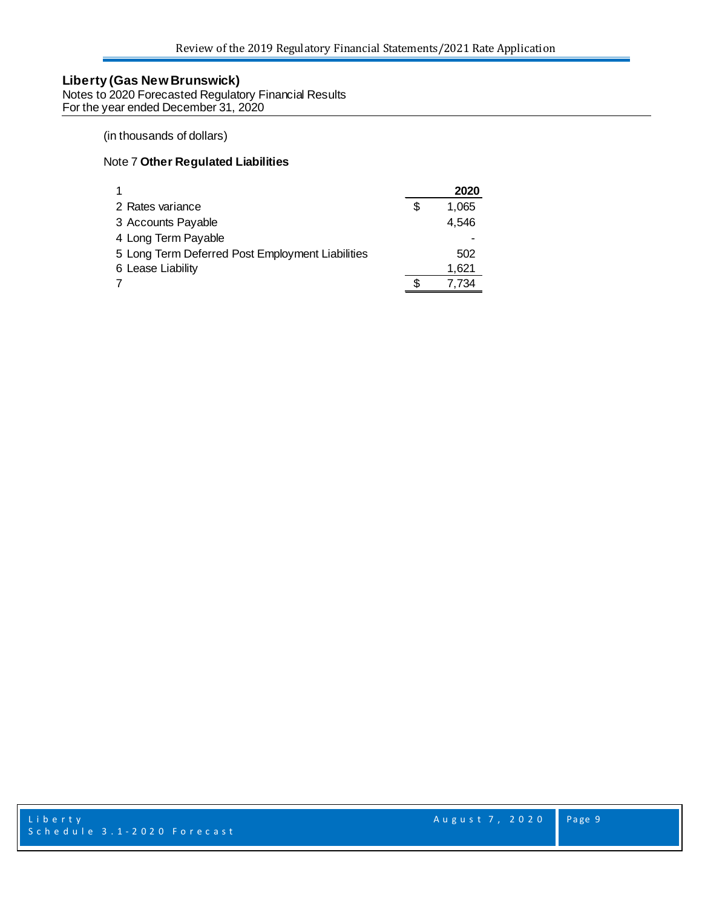Notes to 2020 Forecasted Regulatory Financial Results For the year ended December 31, 2020

## (in thousands of dollars)

### Note 7 **Other Regulated Liabilities**

|                                                  |   | 2020  |
|--------------------------------------------------|---|-------|
| 2 Rates variance                                 | S | 1,065 |
| 3 Accounts Payable                               |   | 4,546 |
| 4 Long Term Payable                              |   |       |
| 5 Long Term Deferred Post Employment Liabilities |   | 502   |
| 6 Lease Liability                                |   | 1,621 |
|                                                  |   | 7.734 |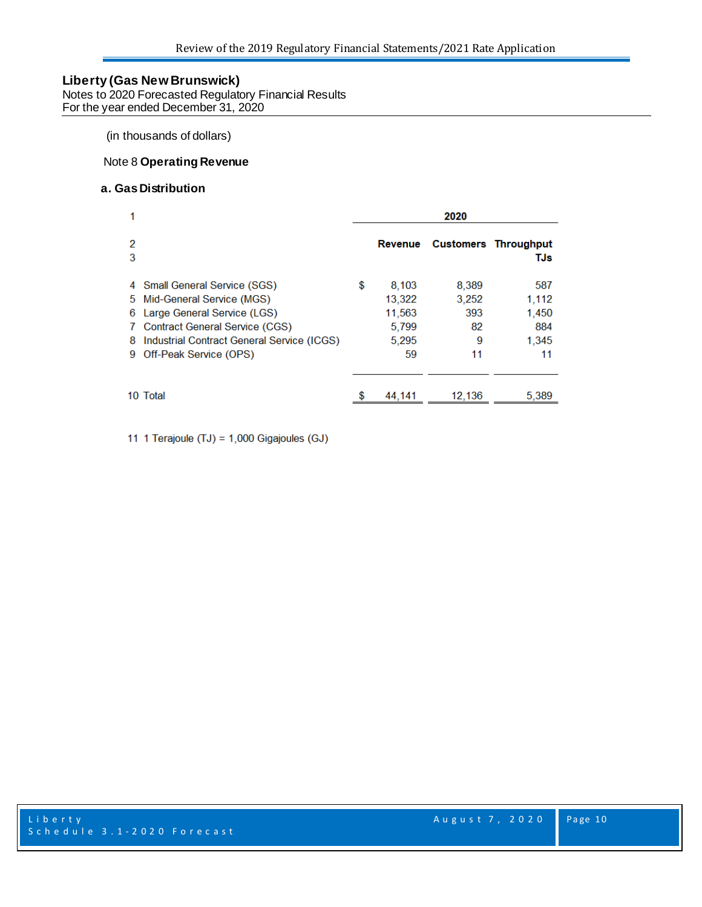Notes to 2020 Forecasted Regulatory Financial Results For the year ended December 31, 2020

(in thousands of dollars)

### Note 8 **Operating Revenue**

## **a. GasDistribution**

|                                                                                                                                                                                                                                       | 2020 |                                                   |                                        |                                             |  |
|---------------------------------------------------------------------------------------------------------------------------------------------------------------------------------------------------------------------------------------|------|---------------------------------------------------|----------------------------------------|---------------------------------------------|--|
| 2<br>3                                                                                                                                                                                                                                |      | Revenue                                           |                                        | <b>Customers Throughput</b><br>TJs          |  |
| 4 Small General Service (SGS)<br>Mid-General Service (MGS)<br>5.<br>Large General Service (LGS)<br>6<br><b>Contract General Service (CGS)</b><br>7.<br>Industrial Contract General Service (ICGS)<br>8<br>Off-Peak Service (OPS)<br>9 | \$   | 8.103<br>13,322<br>11,563<br>5,799<br>5,295<br>59 | 8,389<br>3.252<br>393<br>82<br>9<br>11 | 587<br>1.112<br>1,450<br>884<br>1,345<br>11 |  |
| 10 Total                                                                                                                                                                                                                              |      | 44,141                                            | 12,136                                 | 5,389                                       |  |

11 1 Terajoule (TJ) = 1,000 Gigajoules (GJ)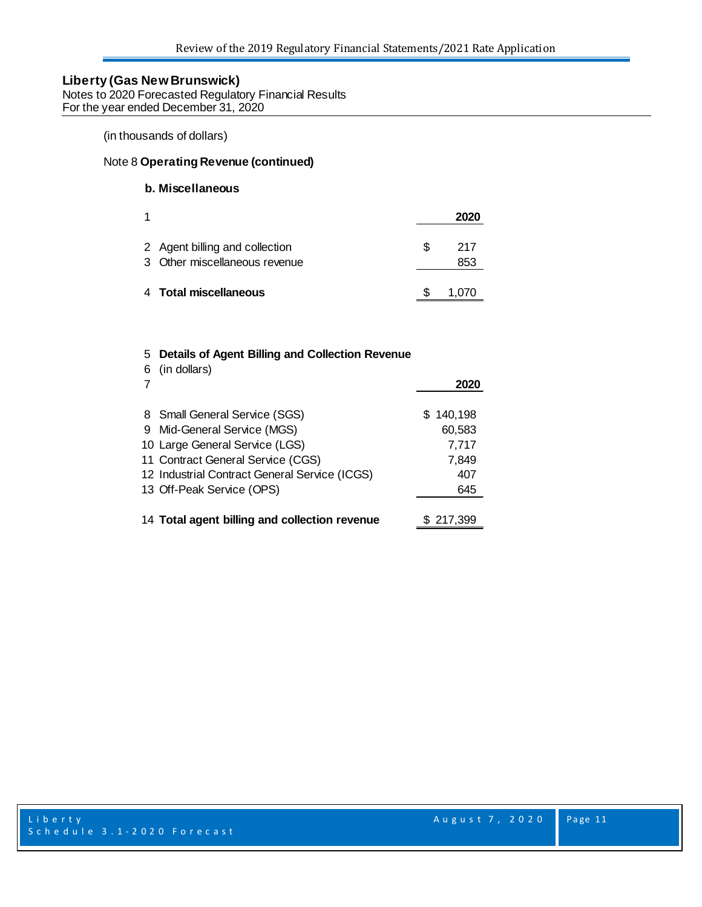Notes to 2020 Forecasted Regulatory Financial Results For the year ended December 31, 2020

(in thousands of dollars)

#### Note 8 **Operating Revenue (continued)**

## **b. Miscellaneous**

| 1 |                                                                 |    | 2020       |
|---|-----------------------------------------------------------------|----|------------|
|   | 2 Agent billing and collection<br>3 Other miscellaneous revenue | S. | 217<br>853 |
|   | 4 Total miscellaneous                                           |    | 1,070      |

## 5 **Details of Agent Billing and Collection Revenue**

| 6 | (in dollars)                                  | 2020      |
|---|-----------------------------------------------|-----------|
|   | 8 Small General Service (SGS)                 | \$140,198 |
|   | 9 Mid-General Service (MGS)                   | 60,583    |
|   | 10 Large General Service (LGS)                | 7,717     |
|   | 11 Contract General Service (CGS)             | 7,849     |
|   | 12 Industrial Contract General Service (ICGS) | 407       |
|   | 13 Off-Peak Service (OPS)                     | 645       |
|   |                                               |           |
|   | 14 Total agent billing and collection revenue | \$217,399 |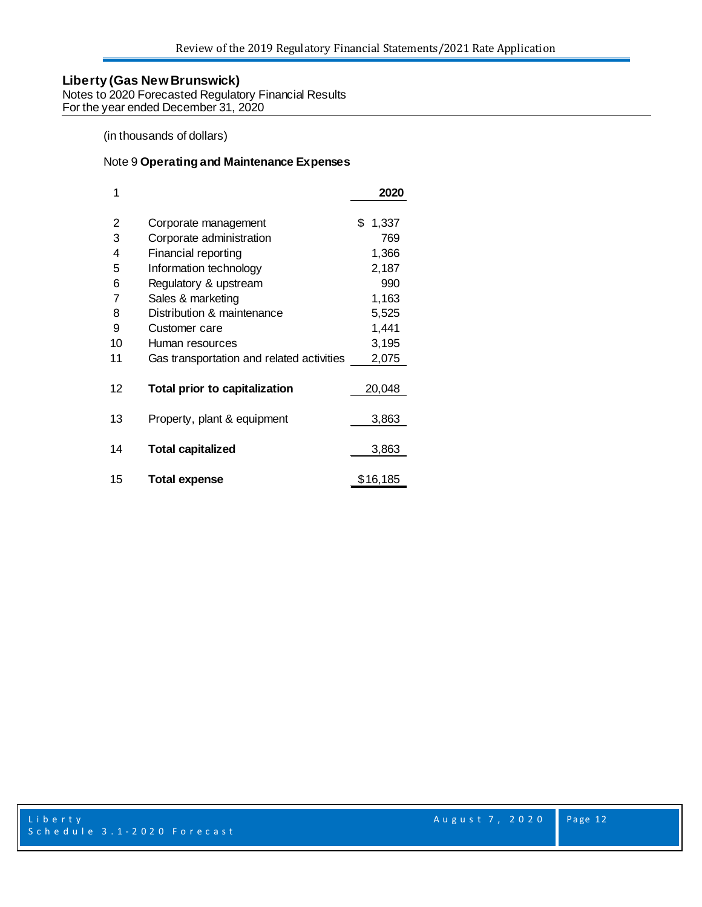Notes to 2020 Forecasted Regulatory Financial Results For the year ended December 31, 2020

## (in thousands of dollars)

#### Note 9 **Operating and Maintenance Expenses**

| 1  |                                           | 2020        |
|----|-------------------------------------------|-------------|
| 2  | Corporate management                      | \$<br>1,337 |
| 3  | Corporate administration                  | 769         |
| 4  | Financial reporting                       | 1,366       |
| 5  | Information technology                    | 2,187       |
| 6  | Regulatory & upstream                     | 990         |
| 7  | Sales & marketing                         | 1,163       |
| 8  | Distribution & maintenance                | 5,525       |
| 9  | Customer care                             | 1,441       |
| 10 | Human resources                           | 3,195       |
| 11 | Gas transportation and related activities | 2,075       |
| 12 | Total prior to capitalization             | 20,048      |
| 13 | Property, plant & equipment               | 3,863       |
| 14 | <b>Total capitalized</b>                  | 3,863       |
| 15 | <b>Total expense</b>                      | \$16,185    |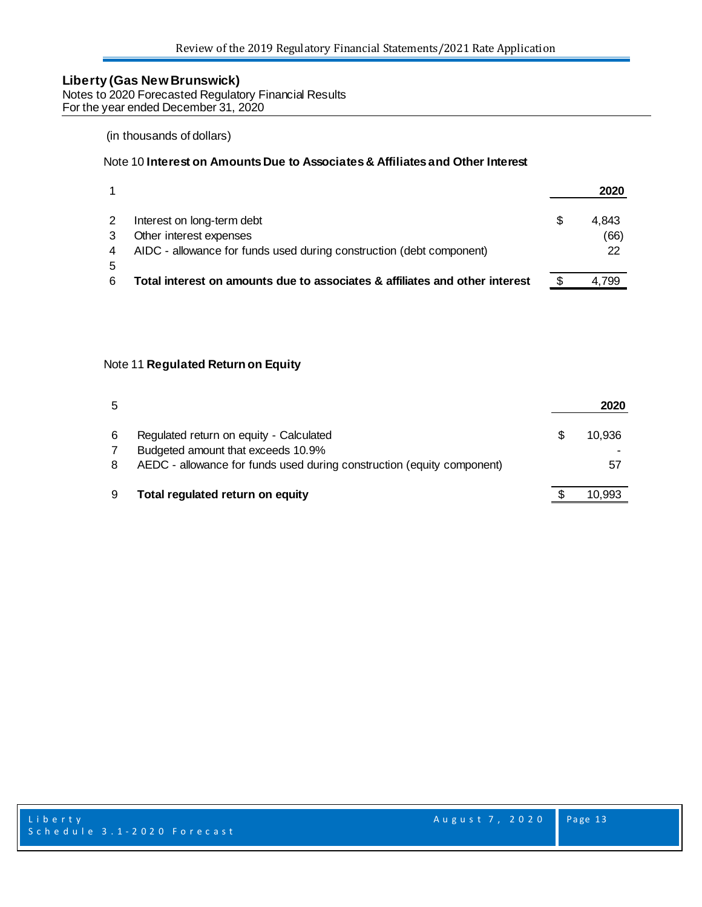Notes to 2020 Forecasted Regulatory Financial Results For the year ended December 31, 2020

#### (in thousands of dollars)

#### Note 10 **Interest on Amounts Due to Associates & Affiliates and Other Interest**

|   |                                                                             | 2020  |
|---|-----------------------------------------------------------------------------|-------|
|   | Interest on long-term debt                                                  | 4.843 |
|   | Other interest expenses                                                     | (66)  |
|   | AIDC - allowance for funds used during construction (debt component)        | 22    |
|   |                                                                             |       |
| 6 | Total interest on amounts due to associates & affiliates and other interest | 4.799 |

### Note 11 **Regulated Return on Equity**

| 5 |                                                                                                                                                         | 2020         |
|---|---------------------------------------------------------------------------------------------------------------------------------------------------------|--------------|
| 6 | Regulated return on equity - Calculated<br>Budgeted amount that exceeds 10.9%<br>AEDC - allowance for funds used during construction (equity component) | 10.936<br>57 |
|   | Total regulated return on equity                                                                                                                        | 10.993       |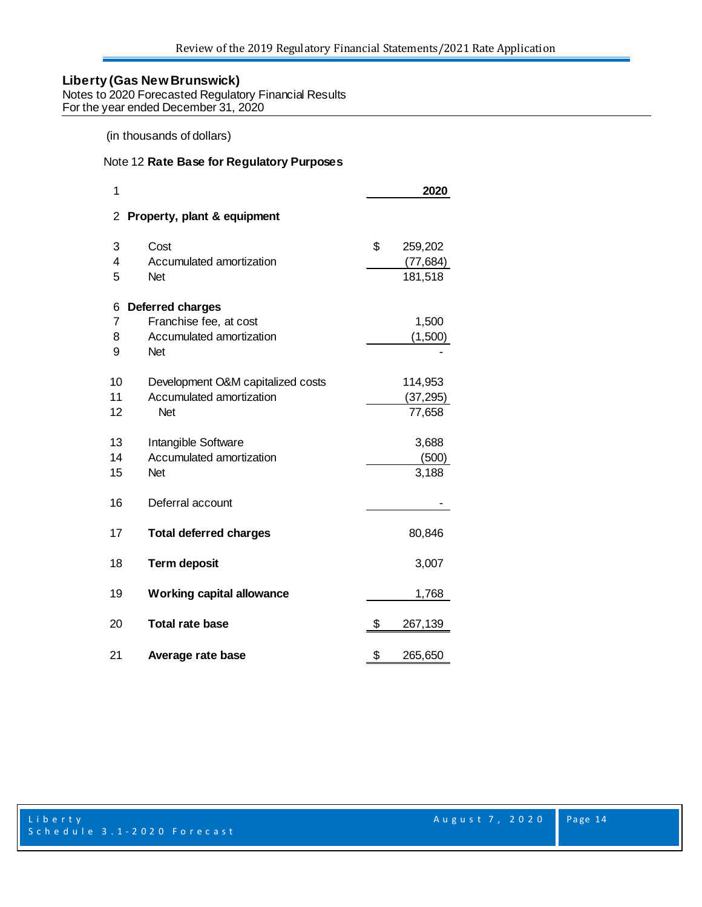Notes to 2020 Forecasted Regulatory Financial Results For the year ended December 31, 2020

## (in thousands of dollars)

#### Note 12 **Rate Base for Regulatory Purposes**

| 1  |                                   | 2020          |
|----|-----------------------------------|---------------|
| 2  | Property, plant & equipment       |               |
| 3  | Cost                              | \$<br>259,202 |
| 4  | Accumulated amortization          | (77, 684)     |
| 5  | <b>Net</b>                        | 181,518       |
| 6  | Deferred charges                  |               |
| 7  | Franchise fee, at cost            | 1,500         |
| 8  | Accumulated amortization          | (1,500)       |
| 9  | <b>Net</b>                        |               |
| 10 | Development O&M capitalized costs | 114,953       |
| 11 | Accumulated amortization          | (37, 295)     |
| 12 | <b>Net</b>                        | 77,658        |
| 13 | Intangible Software               | 3,688         |
| 14 | Accumulated amortization          | (500)         |
| 15 | <b>Net</b>                        | 3,188         |
| 16 | Deferral account                  |               |
| 17 | <b>Total deferred charges</b>     | 80,846        |
| 18 | <b>Term deposit</b>               | 3,007         |
| 19 | <b>Working capital allowance</b>  | 1,768         |
| 20 | <b>Total rate base</b>            | \$<br>267,139 |
| 21 | Average rate base                 | \$<br>265,650 |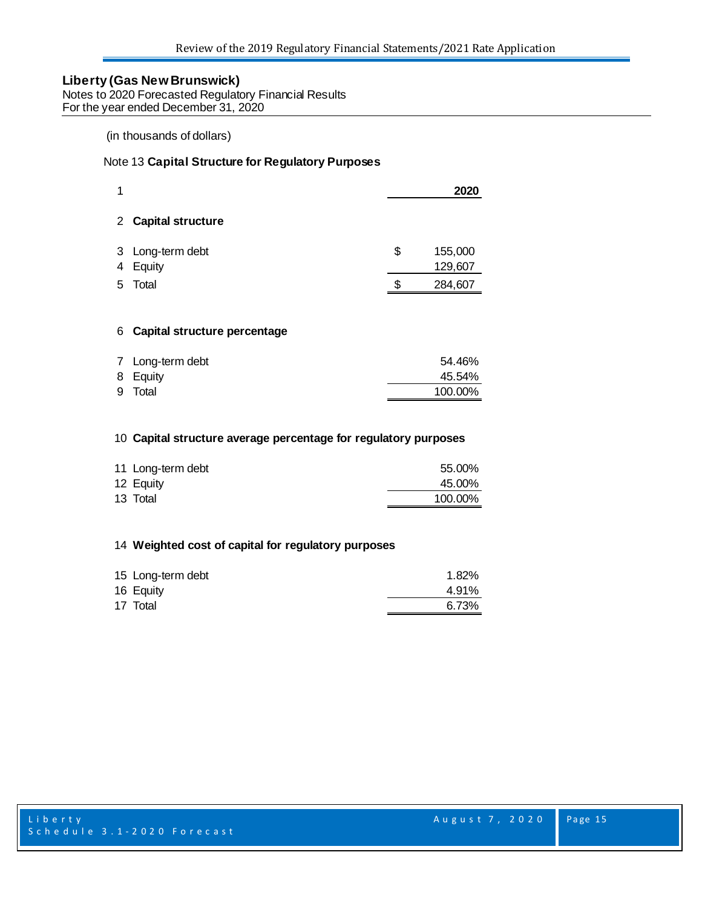Notes to 2020 Forecasted Regulatory Financial Results For the year ended December 31, 2020

#### (in thousands of dollars)

#### Note 13 **Capital Structure for Regulatory Purposes**

| 1 |                              |    | 2020               |
|---|------------------------------|----|--------------------|
|   | 2 Capital structure          |    |                    |
|   | 3 Long-term debt<br>4 Equity | \$ | 155,000<br>129,607 |
| 5 | Total                        | S. | 284,607            |
|   |                              |    |                    |

#### **Capital structure percentage**

| 7 Long-term debt | 54.46%  |
|------------------|---------|
| 8 Equity         | 45.54%  |
| 9 Total          | 100.00% |
|                  |         |

#### **Capital structure average percentage for regulatory purposes**

| 11 Long-term debt | 55.00%  |
|-------------------|---------|
| 12 Equity         | 45.00%  |
| 13 Total          | 100.00% |

#### **Weighted cost of capital for regulatory purposes**

| 15 Long-term debt | 1.82% |
|-------------------|-------|
| 16 Equity         | 4.91% |
| 17 Total          | 6.73% |